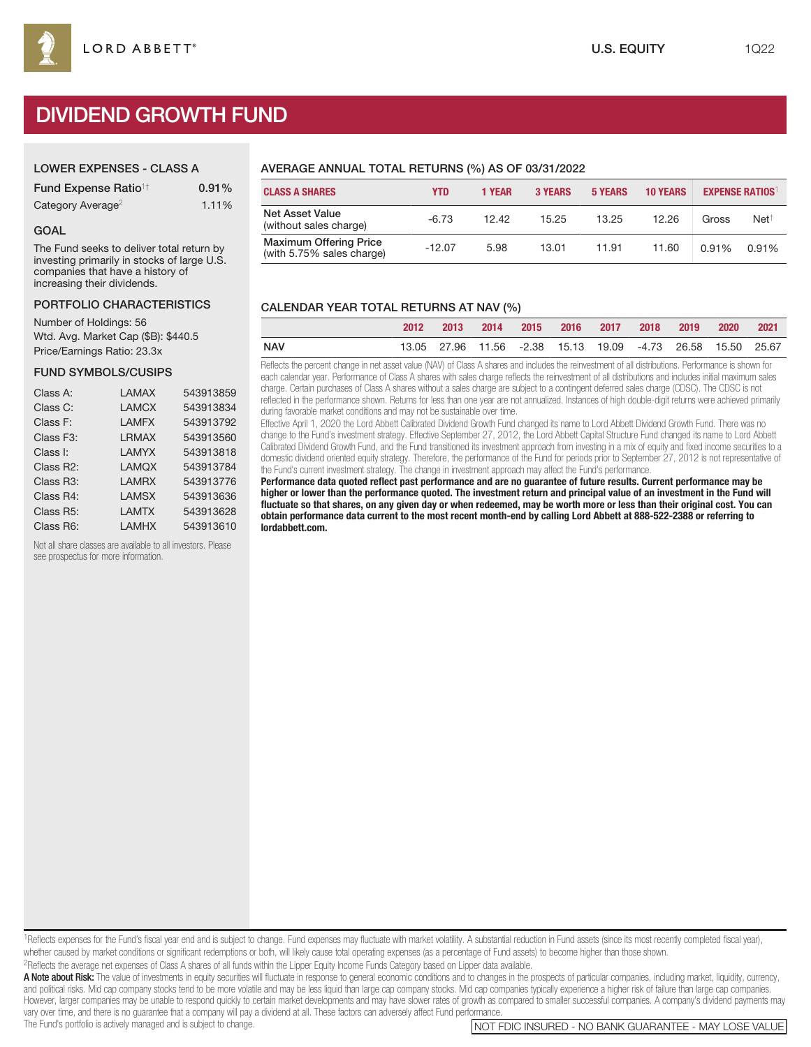# DIVIDEND GROWTH FUND

| <b>LOWER EXPENSES - CLASS A</b> |  |
|---------------------------------|--|
|                                 |  |

| <b>Fund Expense Ratio<sup>1†</sup></b> | 0.91% |
|----------------------------------------|-------|
| Category Average <sup>2</sup>          | 1.11% |

#### GOAL

The Fund seeks to deliver total return by investing primarily in stocks of large U.S. companies that have a history of increasing their dividends.

# PORTFOLIO CHARACTERISTICS

Number of Holdings: 56 Wtd. Avg. Market Cap (\$B): \$440.5 Price/Earnings Ratio: 23.3x

## FUND SYMBOLS/CUSIPS

| Class A:               | LAMAX        | 543913859 |
|------------------------|--------------|-----------|
| Class C:               | <b>LAMCX</b> | 543913834 |
| Class F:               | <b>LAMFX</b> | 543913792 |
| Class F <sub>3</sub> : | <b>LRMAX</b> | 543913560 |
| Class I:               | I AMYX       | 543913818 |
| Class R2:              | LAMOX        | 543913784 |
| Class R <sub>3</sub> : | <b>LAMRX</b> | 543913776 |
| Class R4:              | <b>LAMSX</b> | 543913636 |
| Class R5:              | <b>LAMTX</b> | 543913628 |
| Class R6:              | <b>LAMHX</b> | 543913610 |

Not all share classes are available to all investors. Please see prospectus for more information.

## AVERAGE ANNUAL TOTAL RETURNS (%) AS OF 03/31/2022

| <b>CLASS A SHARES</b>                                      | <b>YTD</b> | <b>1 YEAR</b> | <b>3 YEARS</b> | <b>5 YEARS</b> | <b>10 YEARS</b> |       | <b>EXPENSE RATIOS</b> |
|------------------------------------------------------------|------------|---------------|----------------|----------------|-----------------|-------|-----------------------|
| <b>Net Asset Value</b><br>(without sales charge)           | $-6.73$    | 12.42         | 15.25          | 13.25          | 12.26           | Gross | Net <sup>†</sup>      |
| <b>Maximum Offering Price</b><br>(with 5.75% sales charge) | $-12.07$   | 5.98          | 13.01          | 11.91          | 11.60           | 0.91% | 0.91%                 |

## CALENDAR YEAR TOTAL RETURNS AT NAV (%)

|            | 2012 | 2013 | - 2014 | 2015 2016 2017 2018 2019 |  |                                                             | - 2020 | - 2021 |
|------------|------|------|--------|--------------------------|--|-------------------------------------------------------------|--------|--------|
| <b>NAV</b> |      |      |        |                          |  | 13.05 27.96 11.56 -2.38 15.13 19.09 -4.73 26.58 15.50 25.67 |        |        |

Reflects the percent change in net asset value (NAV) of Class A shares and includes the reinvestment of all distributions. Performance is shown for each calendar year. Performance of Class A shares with sales charge reflects the reinvestment of all distributions and includes initial maximum sales charge. Certain purchases of Class A shares without a sales charge are subject to a contingent deferred sales charge (CDSC). The CDSC is not reflected in the performance shown. Returns for less than one year are not annualized. Instances of high double-digit returns were achieved primarily during favorable market conditions and may not be sustainable over time.

Effective April 1, 2020 the Lord Abbett Calibrated Dividend Growth Fund changed its name to Lord Abbett Dividend Growth Fund. There was no change to the Fund's investment strategy. Effective September 27, 2012, the Lord Abbett Capital Structure Fund changed its name to Lord Abbett Calibrated Dividend Growth Fund, and the Fund transitioned its investment approach from investing in a mix of equity and fixed income securities to a domestic dividend oriented equity strategy. Therefore, the performance of the Fund for periods prior to September 27, 2012 is not representative of the Fund's current investment strategy. The change in investment approach may affect the Fund's performance.

**Performance data quoted reflect past performance and are no guarantee of future results. Current performance may be higher or lower than the performance quoted. The investment return and principal value of an investment in the Fund will fluctuate so that shares, on any given day or when redeemed, may be worth more or less than their original cost. You can obtain performance data current to the most recent month-end by calling Lord Abbett at 888-522-2388 or referring to lordabbett.com.**

<sup>1</sup>Reflects expenses for the Fund's fiscal year end and is subject to change. Fund expenses may fluctuate with market volatility. A substantial reduction in Fund assets (since its most recently completed fiscal year), whether caused by market conditions or significant redemptions or both, will likely cause total operating expenses (as a percentage of Fund assets) to become higher than those shown. 2Reflects the average net expenses of Class A shares of all funds within the Lipper Equity Income Funds Category based on Lipper data available.

A Note about Risk: The value of investments in equity securities will fluctuate in response to general economic conditions and to changes in the prospects of particular companies, including market, liquidity, currency, and political risks. Mid cap company stocks tend to be more volatile and may be less liquid than large cap company stocks. Mid cap companies typically experience a higher risk of failure than large cap companies. However, larger companies may be unable to respond quickly to certain market developments and may have slower rates of growth as compared to smaller successful companies. A company's dividend payments may vary over time, and there is no guarantee that a company will pay a dividend at all. These factors can adversely affect Fund performance.